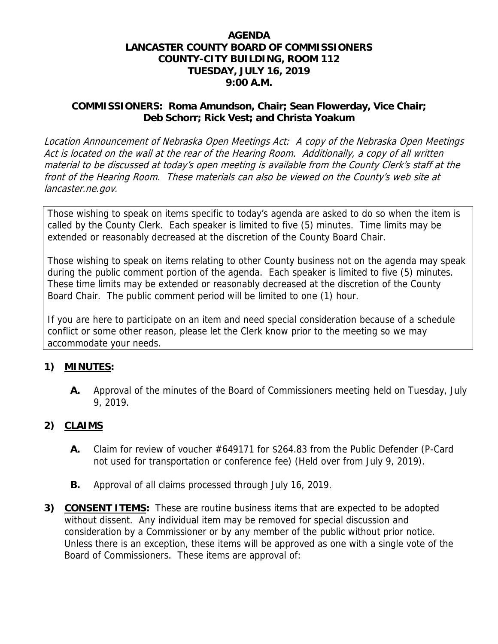### **AGENDA LANCASTER COUNTY BOARD OF COMMISSIONERS COUNTY-CITY BUILDING, ROOM 112 TUESDAY, JULY 16, 2019 9:00 A.M.**

### **COMMISSIONERS: Roma Amundson, Chair; Sean Flowerday, Vice Chair; Deb Schorr; Rick Vest; and Christa Yoakum**

Location Announcement of Nebraska Open Meetings Act: A copy of the Nebraska Open Meetings Act is located on the wall at the rear of the Hearing Room. Additionally, a copy of all written material to be discussed at today's open meeting is available from the County Clerk's staff at the front of the Hearing Room. These materials can also be viewed on the County's web site at lancaster.ne.gov.

Those wishing to speak on items specific to today's agenda are asked to do so when the item is called by the County Clerk. Each speaker is limited to five (5) minutes. Time limits may be extended or reasonably decreased at the discretion of the County Board Chair.

Those wishing to speak on items relating to other County business not on the agenda may speak during the public comment portion of the agenda. Each speaker is limited to five (5) minutes. These time limits may be extended or reasonably decreased at the discretion of the County Board Chair. The public comment period will be limited to one (1) hour.

If you are here to participate on an item and need special consideration because of a schedule conflict or some other reason, please let the Clerk know prior to the meeting so we may accommodate your needs.

## **1) MINUTES:**

**A.** Approval of the minutes of the Board of Commissioners meeting held on Tuesday, July 9, 2019.

## **2) CLAIMS**

- **A.** Claim for review of voucher #649171 for \$264.83 from the Public Defender (P-Card not used for transportation or conference fee) (Held over from July 9, 2019).
- **B.** Approval of all claims processed through July 16, 2019.
- **3) CONSENT ITEMS:** These are routine business items that are expected to be adopted without dissent. Any individual item may be removed for special discussion and consideration by a Commissioner or by any member of the public without prior notice. Unless there is an exception, these items will be approved as one with a single vote of the Board of Commissioners. These items are approval of: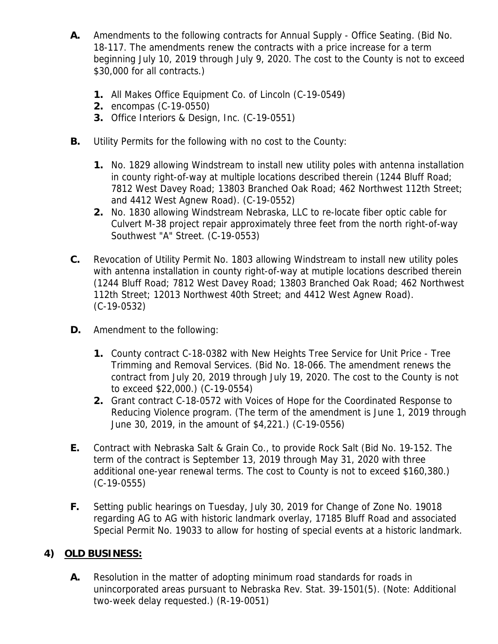- **A.** Amendments to the following contracts for Annual Supply Office Seating. (Bid No. 18-117. The amendments renew the contracts with a price increase for a term beginning July 10, 2019 through July 9, 2020. The cost to the County is not to exceed \$30,000 for all contracts.)
	- **1.** All Makes Office Equipment Co. of Lincoln (C-19-0549)
	- **2.** encompas (C-19-0550)
	- **3.** Office Interiors & Design, Inc. (C-19-0551)
- **B.** Utility Permits for the following with no cost to the County:
	- **1.** No. 1829 allowing Windstream to install new utility poles with antenna installation in county right-of-way at multiple locations described therein (1244 Bluff Road; 7812 West Davey Road; 13803 Branched Oak Road; 462 Northwest 112th Street; and 4412 West Agnew Road). (C-19-0552)
	- **2.** No. 1830 allowing Windstream Nebraska, LLC to re-locate fiber optic cable for Culvert M-38 project repair approximately three feet from the north right-of-way Southwest "A" Street. (C-19-0553)
- **C.** Revocation of Utility Permit No. 1803 allowing Windstream to install new utility poles with antenna installation in county right-of-way at mutiple locations described therein (1244 Bluff Road; 7812 West Davey Road; 13803 Branched Oak Road; 462 Northwest 112th Street; 12013 Northwest 40th Street; and 4412 West Agnew Road). (C-19-0532)
- **D.** Amendment to the following:
	- **1.** County contract C-18-0382 with New Heights Tree Service for Unit Price Tree Trimming and Removal Services. (Bid No. 18-066. The amendment renews the contract from July 20, 2019 through July 19, 2020. The cost to the County is not to exceed \$22,000.) (C-19-0554)
	- **2.** Grant contract C-18-0572 with Voices of Hope for the Coordinated Response to Reducing Violence program. (The term of the amendment is June 1, 2019 through June 30, 2019, in the amount of \$4,221.) (C-19-0556)
- **E.** Contract with Nebraska Salt & Grain Co., to provide Rock Salt (Bid No. 19-152. The term of the contract is September 13, 2019 through May 31, 2020 with three additional one-year renewal terms. The cost to County is not to exceed \$160,380.) (C-19-0555)
- **F.** Setting public hearings on Tuesday, July 30, 2019 for Change of Zone No. 19018 regarding AG to AG with historic landmark overlay, 17185 Bluff Road and associated Special Permit No. 19033 to allow for hosting of special events at a historic landmark.

# **4) OLD BUSINESS:**

**A.** Resolution in the matter of adopting minimum road standards for roads in unincorporated areas pursuant to Nebraska Rev. Stat. 39-1501(5). (Note: Additional two-week delay requested.) (R-19-0051)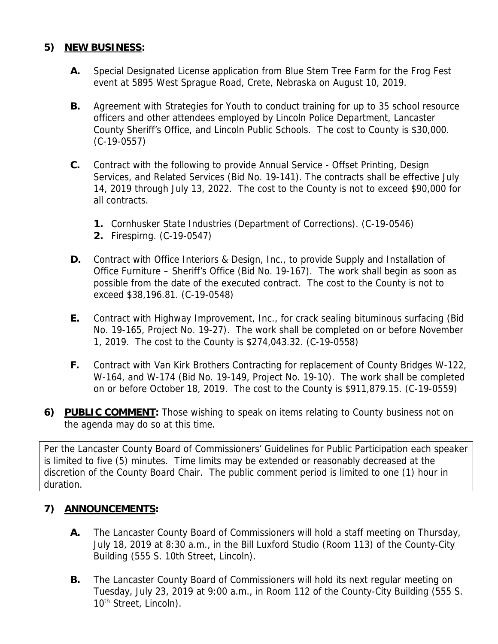## **5) NEW BUSINESS:**

- **A.** Special Designated License application from Blue Stem Tree Farm for the Frog Fest event at 5895 West Sprague Road, Crete, Nebraska on August 10, 2019.
- **B.** Agreement with Strategies for Youth to conduct training for up to 35 school resource officers and other attendees employed by Lincoln Police Department, Lancaster County Sheriff's Office, and Lincoln Public Schools. The cost to County is \$30,000. (C-19-0557)
- **C.** Contract with the following to provide Annual Service Offset Printing, Design Services, and Related Services (Bid No. 19-141). The contracts shall be effective July 14, 2019 through July 13, 2022. The cost to the County is not to exceed \$90,000 for all contracts.
	- **1.** Cornhusker State Industries (Department of Corrections). (C-19-0546)
	- **2.** Firespirng. (C-19-0547)
- **D.** Contract with Office Interiors & Design, Inc., to provide Supply and Installation of Office Furniture – Sheriff's Office (Bid No. 19-167). The work shall begin as soon as possible from the date of the executed contract. The cost to the County is not to exceed \$38,196.81. (C-19-0548)
- **E.** Contract with Highway Improvement, Inc., for crack sealing bituminous surfacing (Bid No. 19-165, Project No. 19-27). The work shall be completed on or before November 1, 2019. The cost to the County is \$274,043.32. (C-19-0558)
- **F.** Contract with Van Kirk Brothers Contracting for replacement of County Bridges W-122, W-164, and W-174 (Bid No. 19-149, Project No. 19-10). The work shall be completed on or before October 18, 2019. The cost to the County is \$911,879.15. (C-19-0559)
- **6) PUBLIC COMMENT:** Those wishing to speak on items relating to County business not on the agenda may do so at this time.

Per the Lancaster County Board of Commissioners' Guidelines for Public Participation each speaker is limited to five (5) minutes. Time limits may be extended or reasonably decreased at the discretion of the County Board Chair. The public comment period is limited to one (1) hour in duration.

## **7) ANNOUNCEMENTS:**

- **A.** The Lancaster County Board of Commissioners will hold a staff meeting on Thursday, July 18, 2019 at 8:30 a.m., in the Bill Luxford Studio (Room 113) of the County-City Building (555 S. 10th Street, Lincoln).
- **B.** The Lancaster County Board of Commissioners will hold its next regular meeting on Tuesday, July 23, 2019 at 9:00 a.m., in Room 112 of the County-City Building (555 S. 10<sup>th</sup> Street, Lincoln).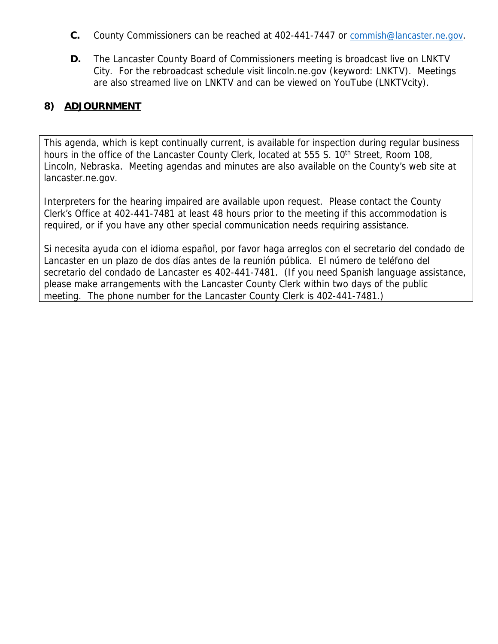- **C.** County Commissioners can be reached at 402-441-7447 or commish@lancaster.ne.gov.
- **D.** The Lancaster County Board of Commissioners meeting is broadcast live on LNKTV City. For the rebroadcast schedule visit lincoln.ne.gov (keyword: LNKTV). Meetings are also streamed live on LNKTV and can be viewed on YouTube (LNKTVcity).

## **8) ADJOURNMENT**

This agenda, which is kept continually current, is available for inspection during regular business hours in the office of the Lancaster County Clerk, located at 555 S. 10<sup>th</sup> Street, Room 108, Lincoln, Nebraska. Meeting agendas and minutes are also available on the County's web site at lancaster.ne.gov.

Interpreters for the hearing impaired are available upon request. Please contact the County Clerk's Office at 402-441-7481 at least 48 hours prior to the meeting if this accommodation is required, or if you have any other special communication needs requiring assistance.

Si necesita ayuda con el idioma español, por favor haga arreglos con el secretario del condado de Lancaster en un plazo de dos días antes de la reunión pública. El número de teléfono del secretario del condado de Lancaster es 402-441-7481. (If you need Spanish language assistance, please make arrangements with the Lancaster County Clerk within two days of the public meeting. The phone number for the Lancaster County Clerk is 402-441-7481.)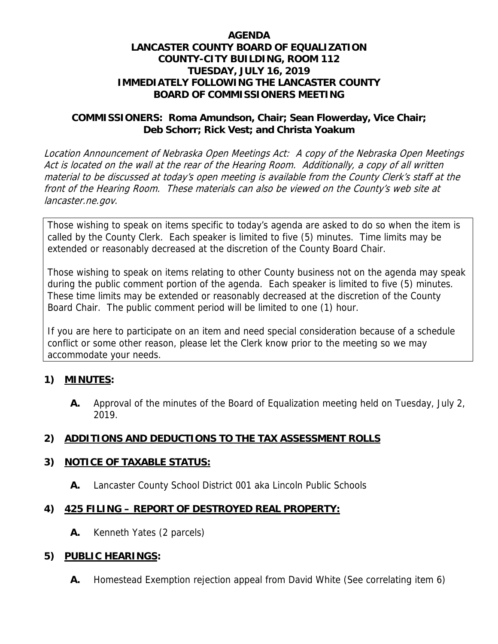### **AGENDA LANCASTER COUNTY BOARD OF EQUALIZATION COUNTY-CITY BUILDING, ROOM 112 TUESDAY, JULY 16, 2019 IMMEDIATELY FOLLOWING THE LANCASTER COUNTY BOARD OF COMMISSIONERS MEETING**

### **COMMISSIONERS: Roma Amundson, Chair; Sean Flowerday, Vice Chair; Deb Schorr; Rick Vest; and Christa Yoakum**

Location Announcement of Nebraska Open Meetings Act: A copy of the Nebraska Open Meetings Act is located on the wall at the rear of the Hearing Room. Additionally, a copy of all written material to be discussed at today's open meeting is available from the County Clerk's staff at the front of the Hearing Room. These materials can also be viewed on the County's web site at lancaster.ne.gov.

Those wishing to speak on items specific to today's agenda are asked to do so when the item is called by the County Clerk. Each speaker is limited to five (5) minutes. Time limits may be extended or reasonably decreased at the discretion of the County Board Chair.

Those wishing to speak on items relating to other County business not on the agenda may speak during the public comment portion of the agenda. Each speaker is limited to five (5) minutes. These time limits may be extended or reasonably decreased at the discretion of the County Board Chair. The public comment period will be limited to one (1) hour.

If you are here to participate on an item and need special consideration because of a schedule conflict or some other reason, please let the Clerk know prior to the meeting so we may accommodate your needs.

## **1) MINUTES:**

**A.** Approval of the minutes of the Board of Equalization meeting held on Tuesday, July 2, 2019.

## **2) ADDITIONS AND DEDUCTIONS TO THE TAX ASSESSMENT ROLLS**

## **3) NOTICE OF TAXABLE STATUS:**

**A.** Lancaster County School District 001 aka Lincoln Public Schools

## **4) 425 FILING – REPORT OF DESTROYED REAL PROPERTY:**

**A.** Kenneth Yates (2 parcels)

## **5) PUBLIC HEARINGS:**

**A.** Homestead Exemption rejection appeal from David White (See correlating item 6)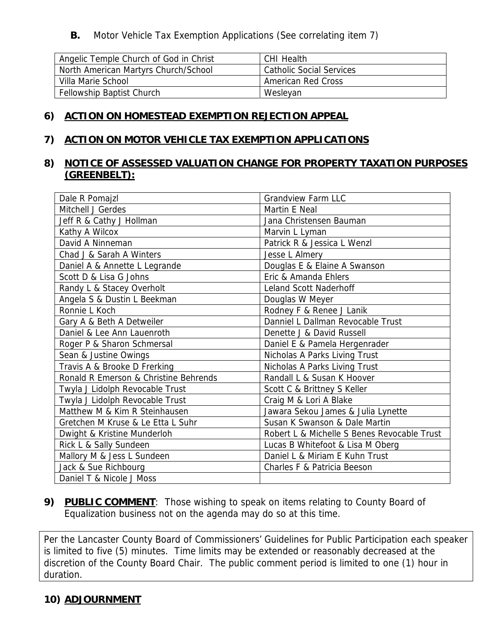**B.** Motor Vehicle Tax Exemption Applications (See correlating item 7)

| Angelic Temple Church of God in Christ | CHI Health               |
|----------------------------------------|--------------------------|
| North American Martyrs Church/School   | Catholic Social Services |
| Villa Marie School                     | American Red Cross       |
| <b>Fellowship Baptist Church</b>       | Wesleyan                 |

### **6) ACTION ON HOMESTEAD EXEMPTION REJECTION APPEAL**

### **7) ACTION ON MOTOR VEHICLE TAX EXEMPTION APPLICATIONS**

## **8) NOTICE OF ASSESSED VALUATION CHANGE FOR PROPERTY TAXATION PURPOSES (GREENBELT):**

| Dale R Pomajzl                        | <b>Grandview Farm LLC</b>                   |
|---------------------------------------|---------------------------------------------|
| Mitchell J Gerdes                     | Martin E Neal                               |
| Jeff R & Cathy J Hollman              | Jana Christensen Bauman                     |
| Kathy A Wilcox                        | Marvin L Lyman                              |
| David A Ninneman                      | Patrick R & Jessica L Wenzl                 |
| Chad J & Sarah A Winters              | Jesse L Almery                              |
| Daniel A & Annette L Legrande         | Douglas E & Elaine A Swanson                |
| Scott D & Lisa G Johns                | Eric & Amanda Ehlers                        |
| Randy L & Stacey Overholt             | Leland Scott Naderhoff                      |
| Angela S & Dustin L Beekman           | Douglas W Meyer                             |
| Ronnie L Koch                         | Rodney F & Renee J Lanik                    |
| Gary A & Beth A Detweiler             | Danniel L Dallman Revocable Trust           |
| Daniel & Lee Ann Lauenroth            | Denette J & David Russell                   |
| Roger P & Sharon Schmersal            | Daniel E & Pamela Hergenrader               |
| Sean & Justine Owings                 | Nicholas A Parks Living Trust               |
| Travis A & Brooke D Frerking          | Nicholas A Parks Living Trust               |
| Ronald R Emerson & Christine Behrends | Randall L & Susan K Hoover                  |
| Twyla J Lidolph Revocable Trust       | Scott C & Brittney S Keller                 |
| Twyla J Lidolph Revocable Trust       | Craig M & Lori A Blake                      |
| Matthew M & Kim R Steinhausen         | Jawara Sekou James & Julia Lynette          |
| Gretchen M Kruse & Le Etta L Suhr     | Susan K Swanson & Dale Martin               |
| Dwight & Kristine Munderloh           | Robert L & Michelle S Benes Revocable Trust |
| Rick L & Sally Sundeen                | Lucas B Whitefoot & Lisa M Oberg            |
| Mallory M & Jess L Sundeen            | Daniel L & Miriam E Kuhn Trust              |
| Jack & Sue Richbourg                  | Charles F & Patricia Beeson                 |
| Daniel T & Nicole J Moss              |                                             |

## **9) PUBLIC COMMENT**: Those wishing to speak on items relating to County Board of Equalization business not on the agenda may do so at this time.

Per the Lancaster County Board of Commissioners' Guidelines for Public Participation each speaker is limited to five (5) minutes. Time limits may be extended or reasonably decreased at the discretion of the County Board Chair. The public comment period is limited to one (1) hour in duration.

## **10) ADJOURNMENT**